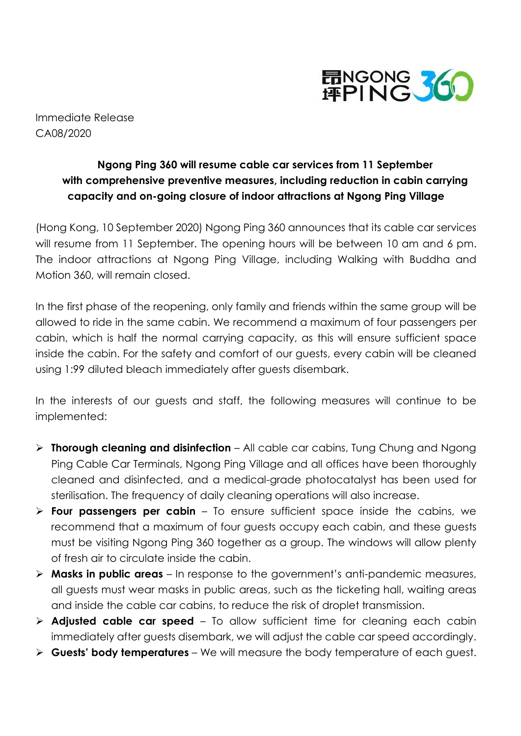

Immediate Release CA08/2020

## **Ngong Ping 360 will resume cable car services from 11 September with comprehensive preventive measures, including reduction in cabin carrying capacity and on-going closure of indoor attractions at Ngong Ping Village**

(Hong Kong, 10 September 2020) Ngong Ping 360 announces that its cable car services will resume from 11 September. The opening hours will be between 10 am and 6 pm. The indoor attractions at Ngong Ping Village, including Walking with Buddha and Motion 360, will remain closed.

In the first phase of the reopening, only family and friends within the same group will be allowed to ride in the same cabin. We recommend a maximum of four passengers per cabin, which is half the normal carrying capacity, as this will ensure sufficient space inside the cabin. For the safety and comfort of our guests, every cabin will be cleaned using 1:99 diluted bleach immediately after guests disembark.

In the interests of our guests and staff, the following measures will continue to be implemented:

- **Thorough cleaning and disinfection** All cable car cabins, Tung Chung and Ngong Ping Cable Car Terminals, Ngong Ping Village and all offices have been thoroughly cleaned and disinfected, and a medical-grade photocatalyst has been used for sterilisation. The frequency of daily cleaning operations will also increase.
- **Four passengers per cabin** To ensure sufficient space inside the cabins, we recommend that a maximum of four guests occupy each cabin, and these guests must be visiting Ngong Ping 360 together as a group. The windows will allow plenty of fresh air to circulate inside the cabin.
- **Masks in public areas** In response to the government's anti-pandemic measures, all guests must wear masks in public areas, such as the ticketing hall, waiting areas and inside the cable car cabins, to reduce the risk of droplet transmission.
- **Adjusted cable car speed** To allow sufficient time for cleaning each cabin immediately after guests disembark, we will adjust the cable car speed accordingly.
- **Guests' body temperatures** We will measure the body temperature of each guest.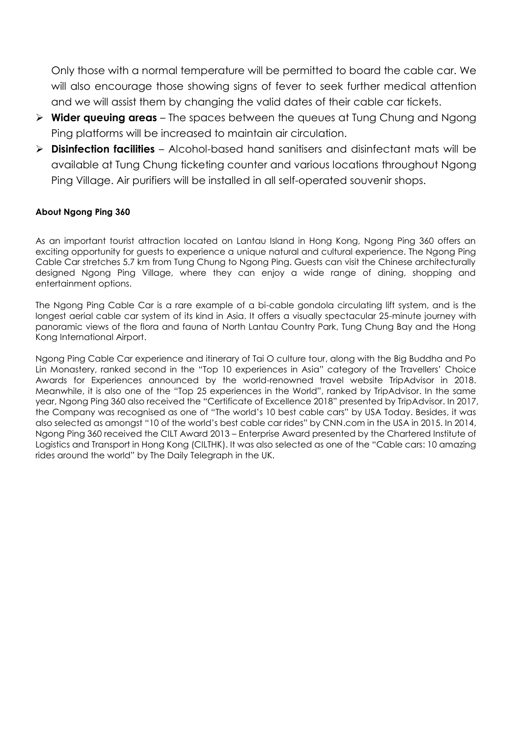Only those with a normal temperature will be permitted to board the cable car. We will also encourage those showing signs of fever to seek further medical attention and we will assist them by changing the valid dates of their cable car tickets.

- **Wider queuing areas** The spaces between the queues at Tung Chung and Ngong Ping platforms will be increased to maintain air circulation.
- **Disinfection facilities** Alcohol-based hand sanitisers and disinfectant mats will be available at Tung Chung ticketing counter and various locations throughout Ngong Ping Village. Air purifiers will be installed in all self-operated souvenir shops.

## **About Ngong Ping 360**

As an important tourist attraction located on Lantau Island in Hong Kong, Ngong Ping 360 offers an exciting opportunity for guests to experience a unique natural and cultural experience. The Ngong Ping Cable Car stretches 5.7 km from Tung Chung to Ngong Ping. Guests can visit the Chinese architecturally designed Ngong Ping Village, where they can enjoy a wide range of dining, shopping and entertainment options.

The Ngong Ping Cable Car is a rare example of a bi-cable gondola circulating lift system, and is the longest aerial cable car system of its kind in Asia. It offers a visually spectacular 25-minute journey with panoramic views of the flora and fauna of North Lantau Country Park, Tung Chung Bay and the Hong Kong International Airport.

Ngong Ping Cable Car experience and itinerary of Tai O culture tour, along with the Big Buddha and Po Lin Monastery, ranked second in the "Top 10 experiences in Asia" category of the Travellers' Choice Awards for Experiences announced by the world-renowned travel website TripAdvisor in 2018. Meanwhile, it is also one of the "Top 25 experiences in the World", ranked by TripAdvisor. In the same year, Ngong Ping 360 also received the "Certificate of Excellence 2018" presented by TripAdvisor. In 2017, the Company was recognised as one of "The world's 10 best cable cars" by USA Today. Besides, it was also selected as amongst "10 of the world's best cable car rides" by CNN.com in the USA in 2015. In 2014, Ngong Ping 360 received the CILT Award 2013 – Enterprise Award presented by the Chartered Institute of Logistics and Transport in Hong Kong (CILTHK). It was also selected as one of the "Cable cars: 10 amazing rides around the world" by The Daily Telegraph in the UK.